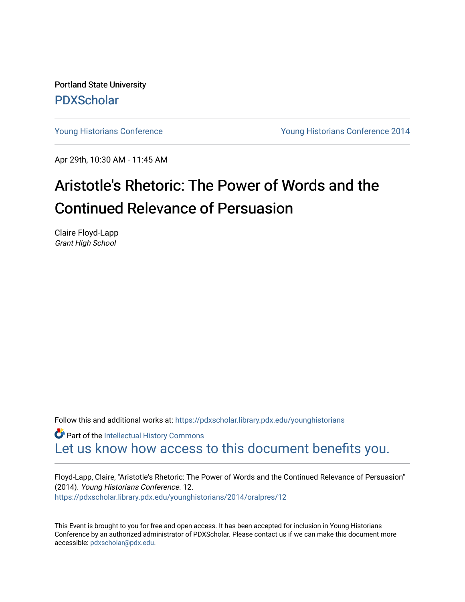Portland State University [PDXScholar](https://pdxscholar.library.pdx.edu/)

[Young Historians Conference](https://pdxscholar.library.pdx.edu/younghistorians) [Young Historians Conference 2014](https://pdxscholar.library.pdx.edu/younghistorians/2014) 

Apr 29th, 10:30 AM - 11:45 AM

## Aristotle's Rhetoric: The Power of Words and the Continued Relevance of Persuasion

Claire Floyd-Lapp Grant High School

Follow this and additional works at: [https://pdxscholar.library.pdx.edu/younghistorians](https://pdxscholar.library.pdx.edu/younghistorians?utm_source=pdxscholar.library.pdx.edu%2Fyounghistorians%2F2014%2Foralpres%2F12&utm_medium=PDF&utm_campaign=PDFCoverPages)

**Part of the Intellectual History Commons** [Let us know how access to this document benefits you.](http://library.pdx.edu/services/pdxscholar-services/pdxscholar-feedback/) 

Floyd-Lapp, Claire, "Aristotle's Rhetoric: The Power of Words and the Continued Relevance of Persuasion" (2014). Young Historians Conference. 12. [https://pdxscholar.library.pdx.edu/younghistorians/2014/oralpres/12](https://pdxscholar.library.pdx.edu/younghistorians/2014/oralpres/12?utm_source=pdxscholar.library.pdx.edu%2Fyounghistorians%2F2014%2Foralpres%2F12&utm_medium=PDF&utm_campaign=PDFCoverPages)

This Event is brought to you for free and open access. It has been accepted for inclusion in Young Historians Conference by an authorized administrator of PDXScholar. Please contact us if we can make this document more accessible: [pdxscholar@pdx.edu.](mailto:pdxscholar@pdx.edu)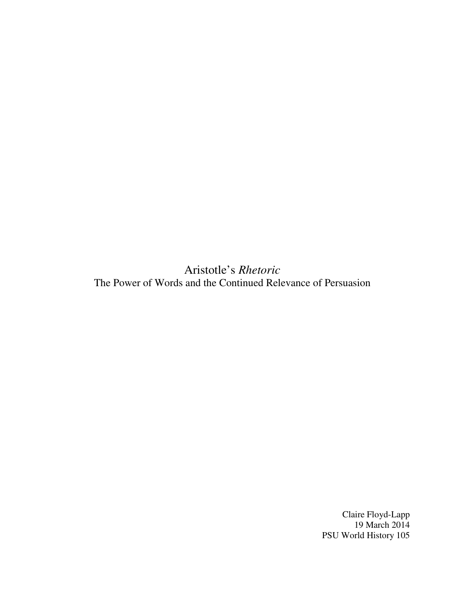Aristotle's *Rhetoric* The Power of Words and the Continued Relevance of Persuasion

> Claire Floyd-Lapp 19 March 2014 PSU World History 105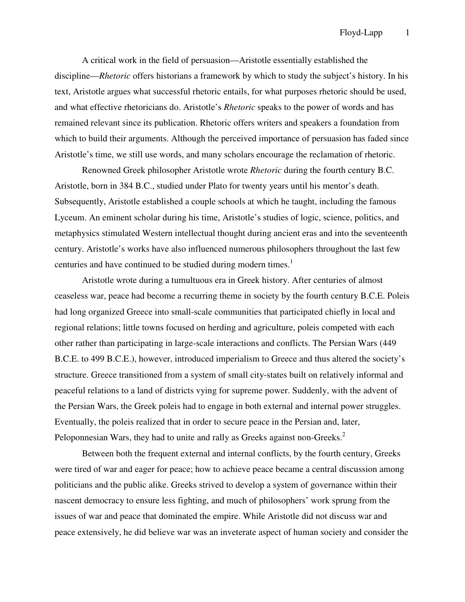A critical work in the field of persuasion—Aristotle essentially established the discipline—*Rhetoric* offers historians a framework by which to study the subject's history. In his text, Aristotle argues what successful rhetoric entails, for what purposes rhetoric should be used, and what effective rhetoricians do. Aristotle's *Rhetoric* speaks to the power of words and has remained relevant since its publication. Rhetoric offers writers and speakers a foundation from which to build their arguments. Although the perceived importance of persuasion has faded since Aristotle's time, we still use words, and many scholars encourage the reclamation of rhetoric.

 Renowned Greek philosopher Aristotle wrote *Rhetoric* during the fourth century B.C. Aristotle, born in 384 B.C., studied under Plato for twenty years until his mentor's death. Subsequently, Aristotle established a couple schools at which he taught, including the famous Lyceum. An eminent scholar during his time, Aristotle's studies of logic, science, politics, and metaphysics stimulated Western intellectual thought during ancient eras and into the seventeenth century. Aristotle's works have also influenced numerous philosophers throughout the last few centuries and have continued to be studied during modern times.<sup>1</sup>

 Aristotle wrote during a tumultuous era in Greek history. After centuries of almost ceaseless war, peace had become a recurring theme in society by the fourth century B.C.E. Poleis had long organized Greece into small-scale communities that participated chiefly in local and regional relations; little towns focused on herding and agriculture, poleis competed with each other rather than participating in large-scale interactions and conflicts. The Persian Wars (449 B.C.E. to 499 B.C.E.), however, introduced imperialism to Greece and thus altered the society's structure. Greece transitioned from a system of small city-states built on relatively informal and peaceful relations to a land of districts vying for supreme power. Suddenly, with the advent of the Persian Wars, the Greek poleis had to engage in both external and internal power struggles. Eventually, the poleis realized that in order to secure peace in the Persian and, later, Peloponnesian Wars, they had to unite and rally as Greeks against non-Greeks.<sup>2</sup>

 Between both the frequent external and internal conflicts, by the fourth century, Greeks were tired of war and eager for peace; how to achieve peace became a central discussion among politicians and the public alike. Greeks strived to develop a system of governance within their nascent democracy to ensure less fighting, and much of philosophers' work sprung from the issues of war and peace that dominated the empire. While Aristotle did not discuss war and peace extensively, he did believe war was an inveterate aspect of human society and consider the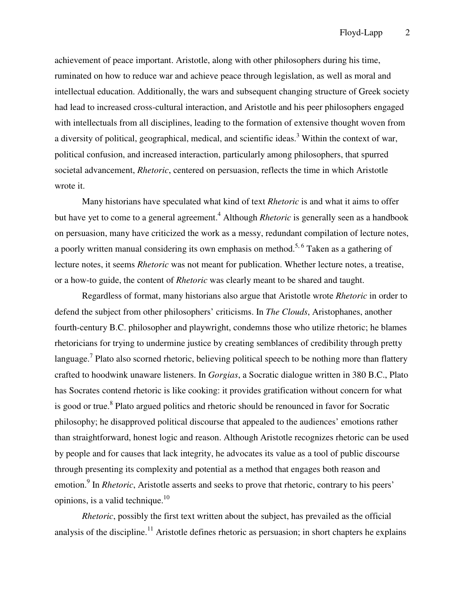achievement of peace important. Aristotle, along with other philosophers during his time, ruminated on how to reduce war and achieve peace through legislation, as well as moral and intellectual education. Additionally, the wars and subsequent changing structure of Greek society had lead to increased cross-cultural interaction, and Aristotle and his peer philosophers engaged with intellectuals from all disciplines, leading to the formation of extensive thought woven from a diversity of political, geographical, medical, and scientific ideas.<sup>3</sup> Within the context of war, political confusion, and increased interaction, particularly among philosophers, that spurred societal advancement, *Rhetoric*, centered on persuasion, reflects the time in which Aristotle wrote it.

 Many historians have speculated what kind of text *Rhetoric* is and what it aims to offer but have yet to come to a general agreement.<sup>4</sup> Although *Rhetoric* is generally seen as a handbook on persuasion, many have criticized the work as a messy, redundant compilation of lecture notes, a poorly written manual considering its own emphasis on method.<sup>5, 6</sup> Taken as a gathering of lecture notes, it seems *Rhetoric* was not meant for publication. Whether lecture notes, a treatise, or a how-to guide, the content of *Rhetoric* was clearly meant to be shared and taught.

 Regardless of format, many historians also argue that Aristotle wrote *Rhetoric* in order to defend the subject from other philosophers' criticisms. In *The Clouds*, Aristophanes, another fourth-century B.C. philosopher and playwright, condemns those who utilize rhetoric; he blames rhetoricians for trying to undermine justice by creating semblances of credibility through pretty language.<sup>7</sup> Plato also scorned rhetoric, believing political speech to be nothing more than flattery crafted to hoodwink unaware listeners. In *Gorgias*, a Socratic dialogue written in 380 B.C., Plato has Socrates contend rhetoric is like cooking: it provides gratification without concern for what is good or true.<sup>8</sup> Plato argued politics and rhetoric should be renounced in favor for Socratic philosophy; he disapproved political discourse that appealed to the audiences' emotions rather than straightforward, honest logic and reason. Although Aristotle recognizes rhetoric can be used by people and for causes that lack integrity, he advocates its value as a tool of public discourse through presenting its complexity and potential as a method that engages both reason and emotion.<sup>9</sup> In *Rhetoric*, Aristotle asserts and seeks to prove that rhetoric, contrary to his peers' opinions, is a valid technique. $10$ 

*Rhetoric*, possibly the first text written about the subject, has prevailed as the official analysis of the discipline.<sup>11</sup> Aristotle defines rhetoric as persuasion; in short chapters he explains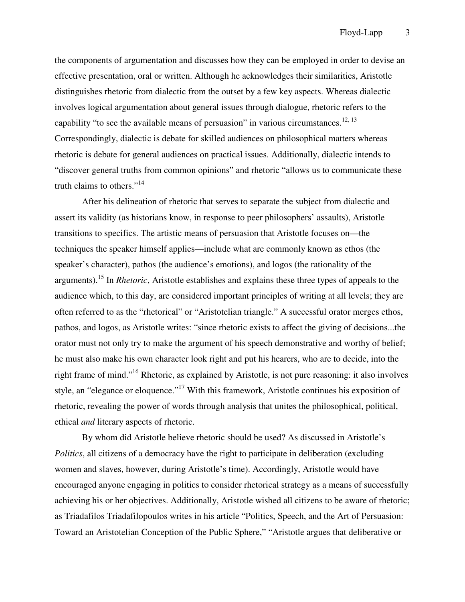the components of argumentation and discusses how they can be employed in order to devise an effective presentation, oral or written. Although he acknowledges their similarities, Aristotle distinguishes rhetoric from dialectic from the outset by a few key aspects. Whereas dialectic involves logical argumentation about general issues through dialogue, rhetoric refers to the capability "to see the available means of persuasion" in various circumstances.<sup>12, 13</sup> Correspondingly, dialectic is debate for skilled audiences on philosophical matters whereas rhetoric is debate for general audiences on practical issues. Additionally, dialectic intends to "discover general truths from common opinions" and rhetoric "allows us to communicate these truth claims to others."<sup>14</sup>

 After his delineation of rhetoric that serves to separate the subject from dialectic and assert its validity (as historians know, in response to peer philosophers' assaults), Aristotle transitions to specifics. The artistic means of persuasion that Aristotle focuses on—the techniques the speaker himself applies—include what are commonly known as ethos (the speaker's character), pathos (the audience's emotions), and logos (the rationality of the arguments).<sup>15</sup> In *Rhetoric*, Aristotle establishes and explains these three types of appeals to the audience which, to this day, are considered important principles of writing at all levels; they are often referred to as the "rhetorical" or "Aristotelian triangle." A successful orator merges ethos, pathos, and logos, as Aristotle writes: "since rhetoric exists to affect the giving of decisions...the orator must not only try to make the argument of his speech demonstrative and worthy of belief; he must also make his own character look right and put his hearers, who are to decide, into the right frame of mind."<sup>16</sup> Rhetoric, as explained by Aristotle, is not pure reasoning: it also involves style, an "elegance or eloquence."<sup>17</sup> With this framework, Aristotle continues his exposition of rhetoric, revealing the power of words through analysis that unites the philosophical, political, ethical *and* literary aspects of rhetoric.

 By whom did Aristotle believe rhetoric should be used? As discussed in Aristotle's *Politics*, all citizens of a democracy have the right to participate in deliberation (excluding women and slaves, however, during Aristotle's time). Accordingly, Aristotle would have encouraged anyone engaging in politics to consider rhetorical strategy as a means of successfully achieving his or her objectives. Additionally, Aristotle wished all citizens to be aware of rhetoric; as Triadafilos Triadafilopoulos writes in his article "Politics, Speech, and the Art of Persuasion: Toward an Aristotelian Conception of the Public Sphere," "Aristotle argues that deliberative or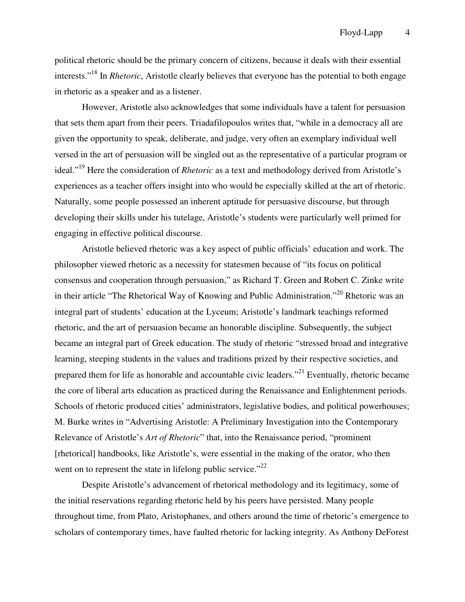political rhetoric should be the primary concern of citizens, because it deals with their essential interests."<sup>18</sup> In *Rhetoric*, Aristotle clearly believes that everyone has the potential to both engage in rhetoric as a speaker and as a listener.

 However, Aristotle also acknowledges that some individuals have a talent for persuasion that sets them apart from their peers. Triadafilopoulos writes that, "while in a democracy all are given the opportunity to speak, deliberate, and judge, very often an exemplary individual well versed in the art of persuasion will be singled out as the representative of a particular program or ideal."<sup>19</sup> Here the consideration of *Rhetoric* as a text and methodology derived from Aristotle's experiences as a teacher offers insight into who would be especially skilled at the art of rhetoric. Naturally, some people possessed an inherent aptitude for persuasive discourse, but through developing their skills under his tutelage, Aristotle's students were particularly well primed for engaging in effective political discourse.

 Aristotle believed rhetoric was a key aspect of public officials' education and work. The philosopher viewed rhetoric as a necessity for statesmen because of "its focus on political consensus and cooperation through persuasion," as Richard T. Green and Robert C. Zinke write in their article "The Rhetorical Way of Knowing and Public Administration."<sup>20</sup> Rhetoric was an integral part of students' education at the Lyceum; Aristotle's landmark teachings reformed rhetoric, and the art of persuasion became an honorable discipline. Subsequently, the subject became an integral part of Greek education. The study of rhetoric "stressed broad and integrative learning, steeping students in the values and traditions prized by their respective societies, and prepared them for life as honorable and accountable civic leaders."<sup>21</sup> Eventually, rhetoric became the core of liberal arts education as practiced during the Renaissance and Enlightenment periods. Schools of rhetoric produced cities' administrators, legislative bodies, and political powerhouses; M. Burke writes in "Advertising Aristotle: A Preliminary Investigation into the Contemporary Relevance of Aristotle's *Art of Rhetoric*" that, into the Renaissance period, "prominent [rhetorical] handbooks, like Aristotle's, were essential in the making of the orator, who then went on to represent the state in lifelong public service." $^{22}$ 

 Despite Aristotle's advancement of rhetorical methodology and its legitimacy, some of the initial reservations regarding rhetoric held by his peers have persisted. Many people throughout time, from Plato, Aristophanes, and others around the time of rhetoric's emergence to scholars of contemporary times, have faulted rhetoric for lacking integrity. As Anthony DeForest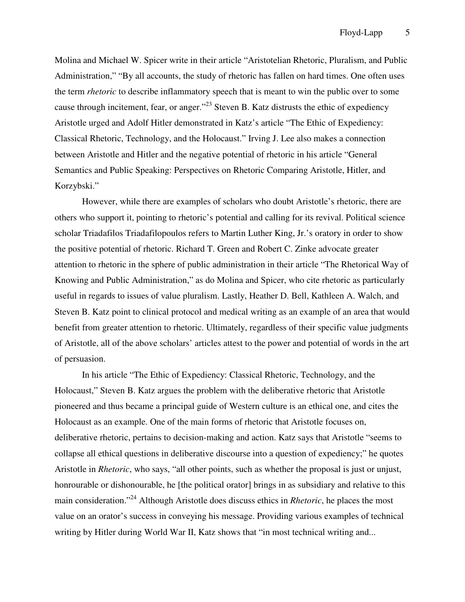Molina and Michael W. Spicer write in their article "Aristotelian Rhetoric, Pluralism, and Public Administration," "By all accounts, the study of rhetoric has fallen on hard times. One often uses the term *rhetoric* to describe inflammatory speech that is meant to win the public over to some cause through incitement, fear, or anger."<sup>23</sup> Steven B. Katz distrusts the ethic of expediency Aristotle urged and Adolf Hitler demonstrated in Katz's article "The Ethic of Expediency: Classical Rhetoric, Technology, and the Holocaust." Irving J. Lee also makes a connection between Aristotle and Hitler and the negative potential of rhetoric in his article "General Semantics and Public Speaking: Perspectives on Rhetoric Comparing Aristotle, Hitler, and Korzybski."

 However, while there are examples of scholars who doubt Aristotle's rhetoric, there are others who support it, pointing to rhetoric's potential and calling for its revival. Political science scholar Triadafilos Triadafilopoulos refers to Martin Luther King, Jr.'s oratory in order to show the positive potential of rhetoric. Richard T. Green and Robert C. Zinke advocate greater attention to rhetoric in the sphere of public administration in their article "The Rhetorical Way of Knowing and Public Administration," as do Molina and Spicer, who cite rhetoric as particularly useful in regards to issues of value pluralism. Lastly, Heather D. Bell, Kathleen A. Walch, and Steven B. Katz point to clinical protocol and medical writing as an example of an area that would benefit from greater attention to rhetoric. Ultimately, regardless of their specific value judgments of Aristotle, all of the above scholars' articles attest to the power and potential of words in the art of persuasion.

 In his article "The Ethic of Expediency: Classical Rhetoric, Technology, and the Holocaust," Steven B. Katz argues the problem with the deliberative rhetoric that Aristotle pioneered and thus became a principal guide of Western culture is an ethical one, and cites the Holocaust as an example. One of the main forms of rhetoric that Aristotle focuses on, deliberative rhetoric, pertains to decision-making and action. Katz says that Aristotle "seems to collapse all ethical questions in deliberative discourse into a question of expediency;" he quotes Aristotle in *Rhetoric*, who says, "all other points, such as whether the proposal is just or unjust, honrourable or dishonourable, he [the political orator] brings in as subsidiary and relative to this main consideration."<sup>24</sup> Although Aristotle does discuss ethics in *Rhetoric*, he places the most value on an orator's success in conveying his message. Providing various examples of technical writing by Hitler during World War II, Katz shows that "in most technical writing and...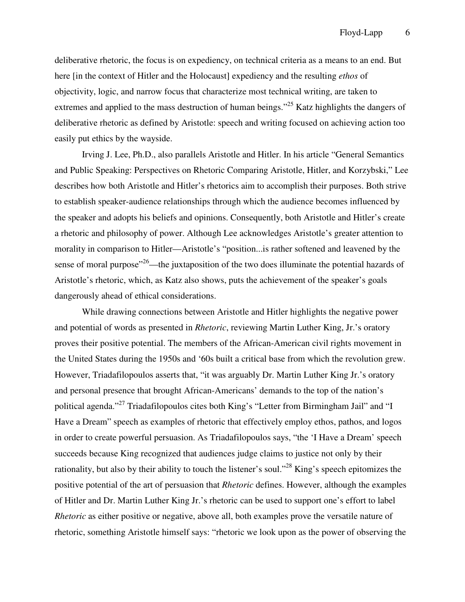deliberative rhetoric, the focus is on expediency, on technical criteria as a means to an end. But here [in the context of Hitler and the Holocaust] expediency and the resulting *ethos* of objectivity, logic, and narrow focus that characterize most technical writing, are taken to extremes and applied to the mass destruction of human beings."<sup>25</sup> Katz highlights the dangers of deliberative rhetoric as defined by Aristotle: speech and writing focused on achieving action too easily put ethics by the wayside.

 Irving J. Lee, Ph.D., also parallels Aristotle and Hitler. In his article "General Semantics and Public Speaking: Perspectives on Rhetoric Comparing Aristotle, Hitler, and Korzybski," Lee describes how both Aristotle and Hitler's rhetorics aim to accomplish their purposes. Both strive to establish speaker-audience relationships through which the audience becomes influenced by the speaker and adopts his beliefs and opinions. Consequently, both Aristotle and Hitler's create a rhetoric and philosophy of power. Although Lee acknowledges Aristotle's greater attention to morality in comparison to Hitler—Aristotle's "position...is rather softened and leavened by the sense of moral purpose<sup> $26$ </sup>—the juxtaposition of the two does illuminate the potential hazards of Aristotle's rhetoric, which, as Katz also shows, puts the achievement of the speaker's goals dangerously ahead of ethical considerations.

 While drawing connections between Aristotle and Hitler highlights the negative power and potential of words as presented in *Rhetoric*, reviewing Martin Luther King, Jr.'s oratory proves their positive potential. The members of the African-American civil rights movement in the United States during the 1950s and '60s built a critical base from which the revolution grew. However, Triadafilopoulos asserts that, "it was arguably Dr. Martin Luther King Jr.'s oratory and personal presence that brought African-Americans' demands to the top of the nation's political agenda."<sup>27</sup> Triadafilopoulos cites both King's "Letter from Birmingham Jail" and "I Have a Dream" speech as examples of rhetoric that effectively employ ethos, pathos, and logos in order to create powerful persuasion. As Triadafilopoulos says, "the 'I Have a Dream' speech succeeds because King recognized that audiences judge claims to justice not only by their rationality, but also by their ability to touch the listener's soul."<sup>28</sup> King's speech epitomizes the positive potential of the art of persuasion that *Rhetoric* defines. However, although the examples of Hitler and Dr. Martin Luther King Jr.'s rhetoric can be used to support one's effort to label *Rhetoric* as either positive or negative, above all, both examples prove the versatile nature of rhetoric, something Aristotle himself says: "rhetoric we look upon as the power of observing the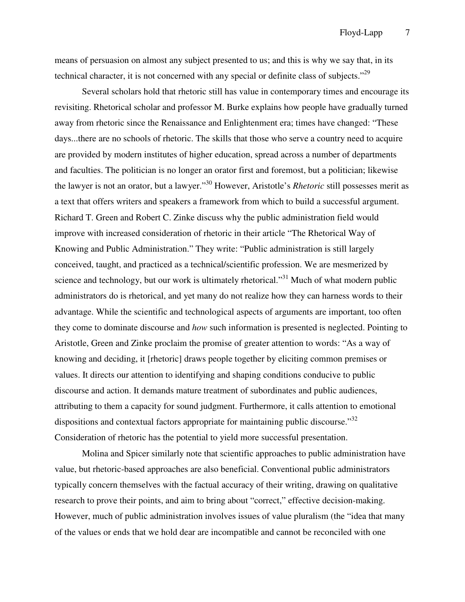means of persuasion on almost any subject presented to us; and this is why we say that, in its technical character, it is not concerned with any special or definite class of subjects."<sup>29</sup>

 Several scholars hold that rhetoric still has value in contemporary times and encourage its revisiting. Rhetorical scholar and professor M. Burke explains how people have gradually turned away from rhetoric since the Renaissance and Enlightenment era; times have changed: "These days...there are no schools of rhetoric. The skills that those who serve a country need to acquire are provided by modern institutes of higher education, spread across a number of departments and faculties. The politician is no longer an orator first and foremost, but a politician; likewise the lawyer is not an orator, but a lawyer."<sup>30</sup> However, Aristotle's *Rhetoric* still possesses merit as a text that offers writers and speakers a framework from which to build a successful argument. Richard T. Green and Robert C. Zinke discuss why the public administration field would improve with increased consideration of rhetoric in their article "The Rhetorical Way of Knowing and Public Administration." They write: "Public administration is still largely conceived, taught, and practiced as a technical/scientific profession. We are mesmerized by science and technology, but our work is ultimately rhetorical."<sup>31</sup> Much of what modern public administrators do is rhetorical, and yet many do not realize how they can harness words to their advantage. While the scientific and technological aspects of arguments are important, too often they come to dominate discourse and *how* such information is presented is neglected. Pointing to Aristotle, Green and Zinke proclaim the promise of greater attention to words: "As a way of knowing and deciding, it [rhetoric] draws people together by eliciting common premises or values. It directs our attention to identifying and shaping conditions conducive to public discourse and action. It demands mature treatment of subordinates and public audiences, attributing to them a capacity for sound judgment. Furthermore, it calls attention to emotional dispositions and contextual factors appropriate for maintaining public discourse."<sup>32</sup> Consideration of rhetoric has the potential to yield more successful presentation.

 Molina and Spicer similarly note that scientific approaches to public administration have value, but rhetoric-based approaches are also beneficial. Conventional public administrators typically concern themselves with the factual accuracy of their writing, drawing on qualitative research to prove their points, and aim to bring about "correct," effective decision-making. However, much of public administration involves issues of value pluralism (the "idea that many of the values or ends that we hold dear are incompatible and cannot be reconciled with one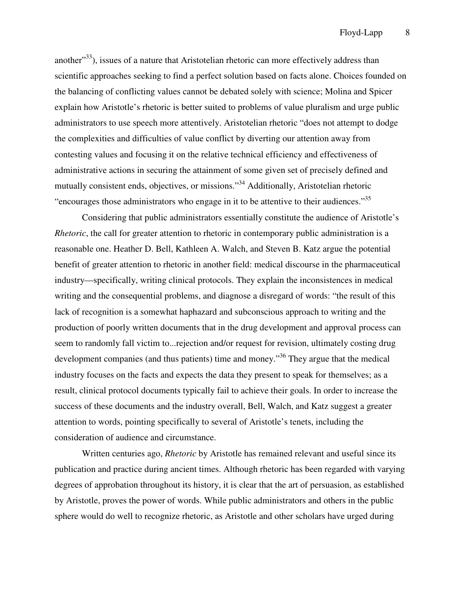another"<sup>33</sup>), issues of a nature that Aristotelian rhetoric can more effectively address than scientific approaches seeking to find a perfect solution based on facts alone. Choices founded on the balancing of conflicting values cannot be debated solely with science; Molina and Spicer explain how Aristotle's rhetoric is better suited to problems of value pluralism and urge public administrators to use speech more attentively. Aristotelian rhetoric "does not attempt to dodge the complexities and difficulties of value conflict by diverting our attention away from contesting values and focusing it on the relative technical efficiency and effectiveness of administrative actions in securing the attainment of some given set of precisely defined and mutually consistent ends, objectives, or missions."<sup>34</sup> Additionally, Aristotelian rhetoric "encourages those administrators who engage in it to be attentive to their audiences."<sup>35</sup>

 Considering that public administrators essentially constitute the audience of Aristotle's *Rhetoric*, the call for greater attention to rhetoric in contemporary public administration is a reasonable one. Heather D. Bell, Kathleen A. Walch, and Steven B. Katz argue the potential benefit of greater attention to rhetoric in another field: medical discourse in the pharmaceutical industry—specifically, writing clinical protocols. They explain the inconsistences in medical writing and the consequential problems, and diagnose a disregard of words: "the result of this lack of recognition is a somewhat haphazard and subconscious approach to writing and the production of poorly written documents that in the drug development and approval process can seem to randomly fall victim to...rejection and/or request for revision, ultimately costing drug development companies (and thus patients) time and money.<sup>36</sup> They argue that the medical industry focuses on the facts and expects the data they present to speak for themselves; as a result, clinical protocol documents typically fail to achieve their goals. In order to increase the success of these documents and the industry overall, Bell, Walch, and Katz suggest a greater attention to words, pointing specifically to several of Aristotle's tenets, including the consideration of audience and circumstance.

 Written centuries ago, *Rhetoric* by Aristotle has remained relevant and useful since its publication and practice during ancient times. Although rhetoric has been regarded with varying degrees of approbation throughout its history, it is clear that the art of persuasion, as established by Aristotle, proves the power of words. While public administrators and others in the public sphere would do well to recognize rhetoric, as Aristotle and other scholars have urged during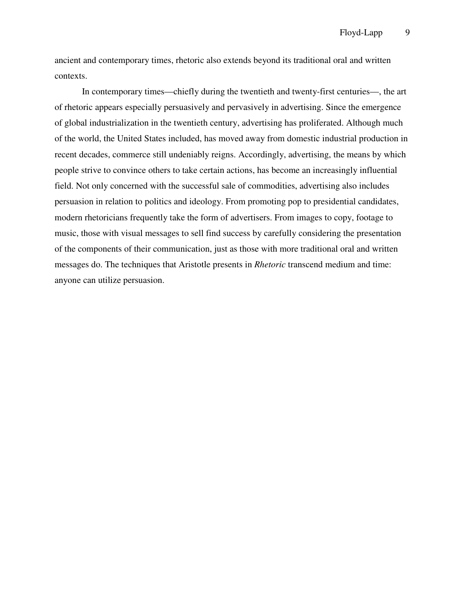ancient and contemporary times, rhetoric also extends beyond its traditional oral and written contexts.

 In contemporary times—chiefly during the twentieth and twenty-first centuries—, the art of rhetoric appears especially persuasively and pervasively in advertising. Since the emergence of global industrialization in the twentieth century, advertising has proliferated. Although much of the world, the United States included, has moved away from domestic industrial production in recent decades, commerce still undeniably reigns. Accordingly, advertising, the means by which people strive to convince others to take certain actions, has become an increasingly influential field. Not only concerned with the successful sale of commodities, advertising also includes persuasion in relation to politics and ideology. From promoting pop to presidential candidates, modern rhetoricians frequently take the form of advertisers. From images to copy, footage to music, those with visual messages to sell find success by carefully considering the presentation of the components of their communication, just as those with more traditional oral and written messages do. The techniques that Aristotle presents in *Rhetoric* transcend medium and time: anyone can utilize persuasion.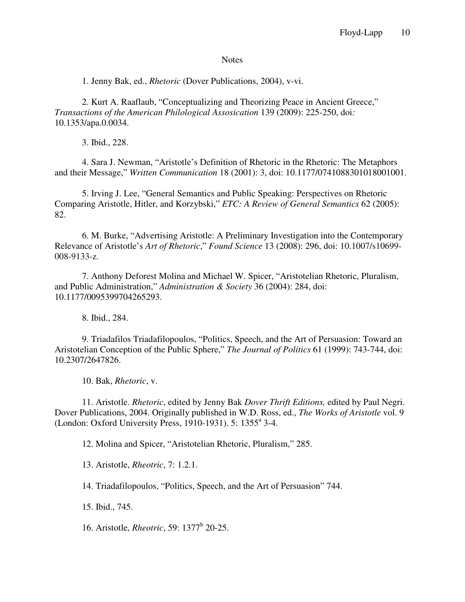## **Notes**

1. Jenny Bak, ed., *Rhetoric* (Dover Publications, 2004), v-vi.

 2. Kurt A. Raaflaub, "Conceptualizing and Theorizing Peace in Ancient Greece," *Transactions of the American Philological Assosication* 139 (2009): 225-250, doi*:*  10.1353/apa.0.0034.

3. Ibid., 228.

 4. Sara J. Newman, "Aristotle's Definition of Rhetoric in the Rhetoric: The Metaphors and their Message," *Written Communication* 18 (2001): 3, doi: 10.1177/0741088301018001001.

 5. Irving J. Lee, "General Semantics and Public Speaking: Perspectives on Rhetoric Comparing Aristotle, Hitler, and Korzybski," *ETC: A Review of General Semantics* 62 (2005): 82.

 6. M. Burke, "Advertising Aristotle: A Preliminary Investigation into the Contemporary Relevance of Aristotle's *Art of Rhetoric*," *Found Science* 13 (2008): 296, doi: 10.1007/s10699- 008-9133-z.

 7. Anthony Deforest Molina and Michael W. Spicer, "Aristotelian Rhetoric, Pluralism, and Public Administration," *Administration & Society* 36 (2004): 284, doi: 10.1177/0095399704265293.

8. Ibid., 284.

 9. Triadafilos Triadafilopoulos, "Politics, Speech, and the Art of Persuasion: Toward an Aristotelian Conception of the Public Sphere," *The Journal of Politics* 61 (1999): 743-744, doi: 10.2307/2647826.

10. Bak, *Rhetoric*, v.

 11. Aristotle. *Rhetoric*, edited by Jenny Bak *Dover Thrift Editions,* edited by Paul Negri. Dover Publications, 2004. Originally published in W.D. Ross, ed., *The Works of Aristotle* vol. 9 (London: Oxford University Press, 1910-1931). 5: 1355<sup>a</sup> 3-4.

12. Molina and Spicer, "Aristotelian Rhetoric, Pluralism," 285.

13. Aristotle, *Rheotric*, 7: 1.2.1.

14. Triadafilopoulos, "Politics, Speech, and the Art of Persuasion" 744.

15. Ibid., 745.

16. Aristotle, *Rheotric*, 59: 1377<sup>b</sup> 20-25.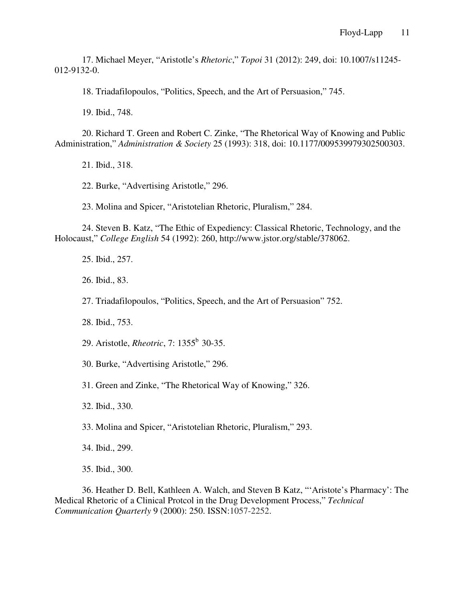17. Michael Meyer, "Aristotle's *Rhetoric*," *Topoi* 31 (2012): 249, doi: 10.1007/s11245- 012-9132-0.

18. Triadafilopoulos, "Politics, Speech, and the Art of Persuasion," 745.

19. Ibid., 748.

 20. Richard T. Green and Robert C. Zinke, "The Rhetorical Way of Knowing and Public Administration," *Administration & Society* 25 (1993): 318, doi: 10.1177/009539979302500303.

21. Ibid., 318.

22. Burke, "Advertising Aristotle," 296.

23. Molina and Spicer, "Aristotelian Rhetoric, Pluralism," 284.

 24. Steven B. Katz, "The Ethic of Expediency: Classical Rhetoric, Technology, and the Holocaust," *College English* 54 (1992): 260, http://www.jstor.org/stable/378062.

25. Ibid., 257.

26. Ibid., 83.

27. Triadafilopoulos, "Politics, Speech, and the Art of Persuasion" 752.

28. Ibid., 753.

29. Aristotle, *Rheotric*, 7: 1355<sup>b</sup> 30-35.

30. Burke, "Advertising Aristotle," 296.

31. Green and Zinke, "The Rhetorical Way of Knowing," 326.

32. Ibid., 330.

33. Molina and Spicer, "Aristotelian Rhetoric, Pluralism," 293.

34. Ibid., 299.

35. Ibid., 300.

 36. Heather D. Bell, Kathleen A. Walch, and Steven B Katz, "'Aristote's Pharmacy': The Medical Rhetoric of a Clinical Protcol in the Drug Development Process," *Technical Communication Quarterly* 9 (2000): 250. ISSN:1057-2252.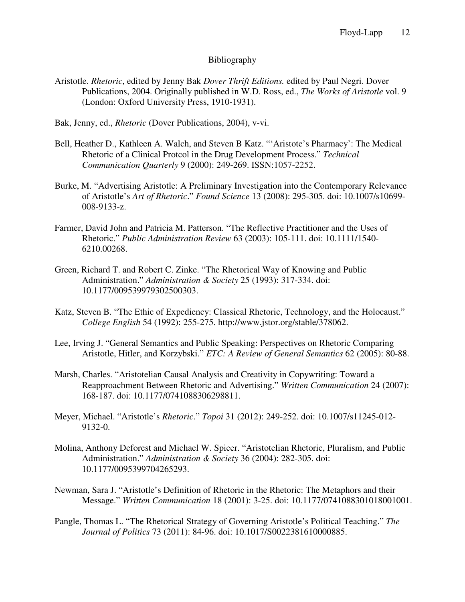## Bibliography

- Aristotle. *Rhetoric*, edited by Jenny Bak *Dover Thrift Editions.* edited by Paul Negri. Dover Publications, 2004. Originally published in W.D. Ross, ed., *The Works of Aristotle* vol. 9 (London: Oxford University Press, 1910-1931).
- Bak, Jenny, ed., *Rhetoric* (Dover Publications, 2004), v-vi.
- Bell, Heather D., Kathleen A. Walch, and Steven B Katz. "'Aristote's Pharmacy': The Medical Rhetoric of a Clinical Protcol in the Drug Development Process." *Technical Communication Quarterly* 9 (2000): 249-269. ISSN:1057-2252.
- Burke, M. "Advertising Aristotle: A Preliminary Investigation into the Contemporary Relevance of Aristotle's *Art of Rhetoric*." *Found Science* 13 (2008): 295-305. doi: 10.1007/s10699- 008-9133-z.
- Farmer, David John and Patricia M. Patterson. "The Reflective Practitioner and the Uses of Rhetoric." *Public Administration Review* 63 (2003): 105-111. doi: 10.1111/1540- 6210.00268.
- Green, Richard T. and Robert C. Zinke. "The Rhetorical Way of Knowing and Public Administration." *Administration & Society* 25 (1993): 317-334. doi: 10.1177/009539979302500303.
- Katz, Steven B. "The Ethic of Expediency: Classical Rhetoric, Technology, and the Holocaust." *College English* 54 (1992): 255-275. http://www.jstor.org/stable/378062.
- Lee, Irving J. "General Semantics and Public Speaking: Perspectives on Rhetoric Comparing Aristotle, Hitler, and Korzybski." *ETC: A Review of General Semantics* 62 (2005): 80-88.
- Marsh, Charles. "Aristotelian Causal Analysis and Creativity in Copywriting: Toward a Reapproachment Between Rhetoric and Advertising." *Written Communication* 24 (2007): 168-187. doi: 10.1177/0741088306298811.
- Meyer, Michael. "Aristotle's *Rhetoric*." *Topoi* 31 (2012): 249-252. doi: 10.1007/s11245-012- 9132-0.
- Molina, Anthony Deforest and Michael W. Spicer. "Aristotelian Rhetoric, Pluralism, and Public Administration." *Administration & Society* 36 (2004): 282-305. doi: 10.1177/0095399704265293.
- Newman, Sara J. "Aristotle's Definition of Rhetoric in the Rhetoric: The Metaphors and their Message." *Written Communication* 18 (2001): 3-25. doi: 10.1177/0741088301018001001.
- Pangle, Thomas L. "The Rhetorical Strategy of Governing Aristotle's Political Teaching." *The Journal of Politics* 73 (2011): 84-96. doi: 10.1017/S0022381610000885.